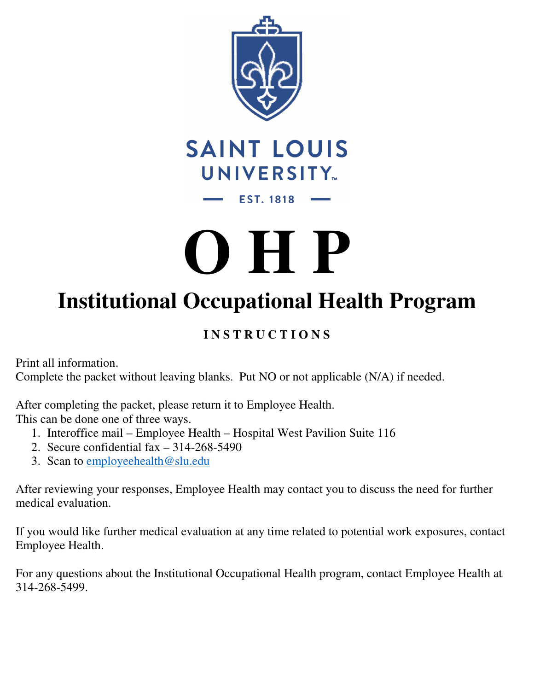

# **O H P**

## **Institutional Occupational Health Program**

## **I N S T R U C T I O N S**

Print all information.

Complete the packet without leaving blanks. Put NO or not applicable (N/A) if needed.

After completing the packet, please return it to Employee Health.

This can be done one of three ways.

- 1. Interoffice mail Employee Health Hospital West Pavilion Suite 116
- 2. Secure confidential  $\text{fax} 314 268 5490$
- 3. Scan to employeehealth@slu.edu

After reviewing your responses, Employee Health may contact you to discuss the need for further medical evaluation.

If you would like further medical evaluation at any time related to potential work exposures, contact Employee Health.

For any questions about the Institutional Occupational Health program, contact Employee Health at 314-268-5499.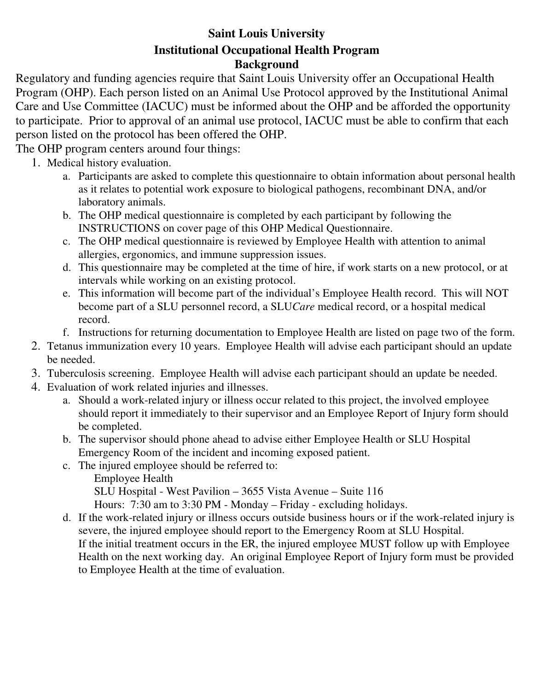#### **Saint Louis University Institutional Occupational Health Program Background**

Regulatory and funding agencies require that Saint Louis University offer an Occupational Health Program (OHP). Each person listed on an Animal Use Protocol approved by the Institutional Animal Care and Use Committee (IACUC) must be informed about the OHP and be afforded the opportunity to participate. Prior to approval of an animal use protocol, IACUC must be able to confirm that each person listed on the protocol has been offered the OHP.

The OHP program centers around four things:

- 1. Medical history evaluation.
	- a. Participants are asked to complete this questionnaire to obtain information about personal health as it relates to potential work exposure to biological pathogens, recombinant DNA, and/or laboratory animals.
	- b. The OHP medical questionnaire is completed by each participant by following the INSTRUCTIONS on cover page of this OHP Medical Questionnaire.
	- c. The OHP medical questionnaire is reviewed by Employee Health with attention to animal allergies, ergonomics, and immune suppression issues.
	- d. This questionnaire may be completed at the time of hire, if work starts on a new protocol, or at intervals while working on an existing protocol.
	- e. This information will become part of the individual's Employee Health record. This will NOT become part of a SLU personnel record, a SLU*Care* medical record, or a hospital medical record.
	- f. Instructions for returning documentation to Employee Health are listed on page two of the form.
- 2. Tetanus immunization every 10 years. Employee Health will advise each participant should an update be needed.
- 3. Tuberculosis screening. Employee Health will advise each participant should an update be needed.
- 4. Evaluation of work related injuries and illnesses.
	- a. Should a work-related injury or illness occur related to this project, the involved employee should report it immediately to their supervisor and an Employee Report of Injury form should be completed.
	- b. The supervisor should phone ahead to advise either Employee Health or SLU Hospital Emergency Room of the incident and incoming exposed patient.
	- c. The injured employee should be referred to:
		- Employee Health

SLU Hospital - West Pavilion – 3655 Vista Avenue – Suite 116

Hours: 7:30 am to 3:30 PM - Monday – Friday - excluding holidays.

d. If the work-related injury or illness occurs outside business hours or if the work-related injury is severe, the injured employee should report to the Emergency Room at SLU Hospital. If the initial treatment occurs in the ER, the injured employee MUST follow up with Employee Health on the next working day. An original Employee Report of Injury form must be provided to Employee Health at the time of evaluation.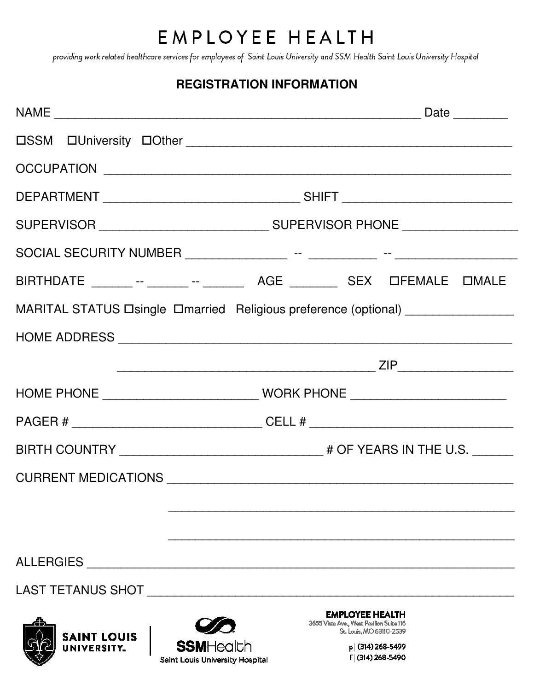## EMPLOYEE HEALTH

providing work related healthcare services for employees of Saint Louis University and SSM Health Saint Louis University Hospital

## **REGISTRATION INFORMATION**

|                            | OCCUPATION                                                                                                                 |  |  |  |  |
|----------------------------|----------------------------------------------------------------------------------------------------------------------------|--|--|--|--|
|                            |                                                                                                                            |  |  |  |  |
|                            | SUPERVISOR ___________________________________SUPERVISOR PHONE _________________                                           |  |  |  |  |
|                            |                                                                                                                            |  |  |  |  |
|                            | BIRTHDATE _______ -- ______ -- _________ AGE __________ SEX _________ OFEMALE __________                                   |  |  |  |  |
|                            | MARITAL STATUS Dsingle Dmarried Religious preference (optional) ________________                                           |  |  |  |  |
|                            |                                                                                                                            |  |  |  |  |
|                            |                                                                                                                            |  |  |  |  |
|                            |                                                                                                                            |  |  |  |  |
|                            |                                                                                                                            |  |  |  |  |
|                            |                                                                                                                            |  |  |  |  |
|                            |                                                                                                                            |  |  |  |  |
|                            |                                                                                                                            |  |  |  |  |
|                            |                                                                                                                            |  |  |  |  |
| <b>ALLERGIES</b>           |                                                                                                                            |  |  |  |  |
| <b>LAST TETANUS SHOT</b>   |                                                                                                                            |  |  |  |  |
|                            | <b>EMPLOYEE HEALTH</b><br>3655 Vista Ave., West Pavilion Suite 116                                                         |  |  |  |  |
| SAINT LOUIS<br>UNIVERSITY. | St. Louis, MO 63110-2539<br><b>SSM</b> Health<br>p   (314) 268-5499<br>f (314) 268-5490<br>Saint Louis University Hospital |  |  |  |  |

Saint Louis University Hospital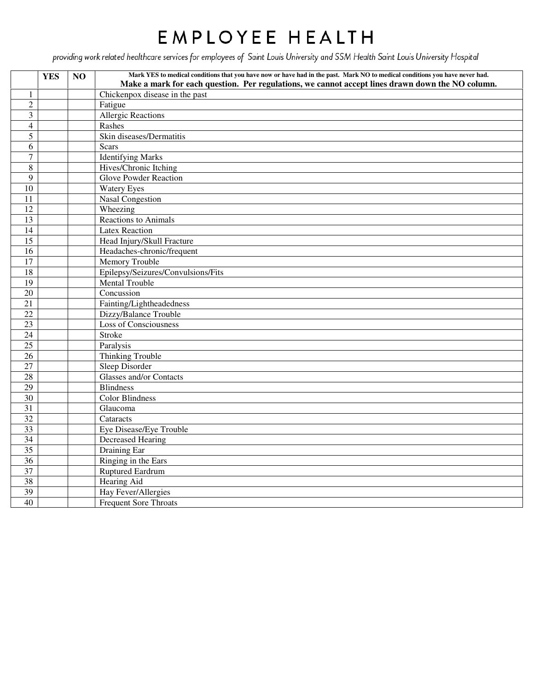## EMPLOYEE HEALTH

providing work related healthcare services for employees of Saint Louis University and SSM Health Saint Louis University Hospital

|                 | <b>YES</b> | NO | Mark YES to medical conditions that you have now or have had in the past. Mark NO to medical conditions you have never had.<br>Make a mark for each question. Per regulations, we cannot accept lines drawn down the NO column. |  |  |  |
|-----------------|------------|----|---------------------------------------------------------------------------------------------------------------------------------------------------------------------------------------------------------------------------------|--|--|--|
| 1               |            |    | Chickenpox disease in the past                                                                                                                                                                                                  |  |  |  |
| $\overline{2}$  |            |    | Fatigue                                                                                                                                                                                                                         |  |  |  |
| $\overline{3}$  |            |    | <b>Allergic Reactions</b>                                                                                                                                                                                                       |  |  |  |
| $\overline{4}$  |            |    | Rashes                                                                                                                                                                                                                          |  |  |  |
| 5               |            |    | Skin diseases/Dermatitis                                                                                                                                                                                                        |  |  |  |
| 6               |            |    | <b>Scars</b>                                                                                                                                                                                                                    |  |  |  |
| $\overline{7}$  |            |    | <b>Identifying Marks</b>                                                                                                                                                                                                        |  |  |  |
| $\overline{8}$  |            |    | Hives/Chronic Itching                                                                                                                                                                                                           |  |  |  |
| 9               |            |    | <b>Glove Powder Reaction</b>                                                                                                                                                                                                    |  |  |  |
| 10              |            |    | <b>Watery Eyes</b>                                                                                                                                                                                                              |  |  |  |
| 11              |            |    | <b>Nasal Congestion</b>                                                                                                                                                                                                         |  |  |  |
| 12              |            |    | Wheezing                                                                                                                                                                                                                        |  |  |  |
| 13              |            |    | <b>Reactions to Animals</b>                                                                                                                                                                                                     |  |  |  |
| 14              |            |    | <b>Latex Reaction</b>                                                                                                                                                                                                           |  |  |  |
| 15              |            |    | Head Injury/Skull Fracture                                                                                                                                                                                                      |  |  |  |
| 16              |            |    | Headaches-chronic/frequent                                                                                                                                                                                                      |  |  |  |
| 17              |            |    | Memory Trouble                                                                                                                                                                                                                  |  |  |  |
| 18              |            |    | Epilepsy/Seizures/Convulsions/Fits                                                                                                                                                                                              |  |  |  |
| $\overline{19}$ |            |    | <b>Mental Trouble</b>                                                                                                                                                                                                           |  |  |  |
| 20              |            |    | Concussion                                                                                                                                                                                                                      |  |  |  |
| 21              |            |    | Fainting/Lightheadedness                                                                                                                                                                                                        |  |  |  |
| 22              |            |    | Dizzy/Balance Trouble                                                                                                                                                                                                           |  |  |  |
| 23              |            |    | Loss of Consciousness                                                                                                                                                                                                           |  |  |  |
| 24              |            |    | Stroke                                                                                                                                                                                                                          |  |  |  |
| 25              |            |    | Paralysis                                                                                                                                                                                                                       |  |  |  |
| 26              |            |    | Thinking Trouble                                                                                                                                                                                                                |  |  |  |
| 27              |            |    | Sleep Disorder                                                                                                                                                                                                                  |  |  |  |
| 28              |            |    | Glasses and/or Contacts                                                                                                                                                                                                         |  |  |  |
| 29              |            |    | <b>Blindness</b>                                                                                                                                                                                                                |  |  |  |
| 30              |            |    | <b>Color Blindness</b>                                                                                                                                                                                                          |  |  |  |
| 31              |            |    | Glaucoma                                                                                                                                                                                                                        |  |  |  |
| 32              |            |    | Cataracts                                                                                                                                                                                                                       |  |  |  |
| 33              |            |    | Eye Disease/Eye Trouble                                                                                                                                                                                                         |  |  |  |
| 34              |            |    | <b>Decreased Hearing</b>                                                                                                                                                                                                        |  |  |  |
| 35              |            |    | Draining Ear                                                                                                                                                                                                                    |  |  |  |
| 36              |            |    | Ringing in the Ears                                                                                                                                                                                                             |  |  |  |
| 37              |            |    | Ruptured Eardrum                                                                                                                                                                                                                |  |  |  |
| 38              |            |    | Hearing Aid                                                                                                                                                                                                                     |  |  |  |
| 39              |            |    | Hay Fever/Allergies                                                                                                                                                                                                             |  |  |  |
| $\overline{40}$ |            |    | <b>Frequent Sore Throats</b>                                                                                                                                                                                                    |  |  |  |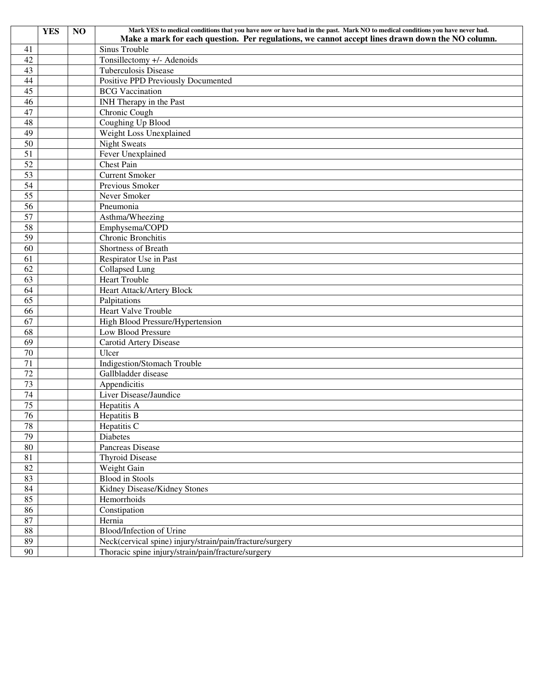|                 | <b>YES</b> | NO | Mark YES to medical conditions that you have now or have had in the past. Mark NO to medical conditions you have never had. |  |  |  |
|-----------------|------------|----|-----------------------------------------------------------------------------------------------------------------------------|--|--|--|
|                 |            |    | Make a mark for each question. Per regulations, we cannot accept lines drawn down the NO column.                            |  |  |  |
| 41              |            |    | Sinus Trouble                                                                                                               |  |  |  |
| 42              |            |    | Tonsillectomy +/- Adenoids                                                                                                  |  |  |  |
| 43              |            |    | Tuberculosis Disease                                                                                                        |  |  |  |
| 44              |            |    | Positive PPD Previously Documented                                                                                          |  |  |  |
| 45              |            |    | <b>BCG</b> Vaccination                                                                                                      |  |  |  |
| 46              |            |    | <b>INH</b> Therapy in the Past                                                                                              |  |  |  |
| 47              |            |    | Chronic Cough                                                                                                               |  |  |  |
| 48              |            |    | Coughing Up Blood                                                                                                           |  |  |  |
| 49              |            |    | Weight Loss Unexplained                                                                                                     |  |  |  |
| 50              |            |    | <b>Night Sweats</b>                                                                                                         |  |  |  |
| 51              |            |    | Fever Unexplained                                                                                                           |  |  |  |
| 52              |            |    | <b>Chest Pain</b>                                                                                                           |  |  |  |
| 53              |            |    | <b>Current Smoker</b>                                                                                                       |  |  |  |
| 54              |            |    | Previous Smoker                                                                                                             |  |  |  |
| 55              |            |    | Never Smoker                                                                                                                |  |  |  |
| 56              |            |    | Pneumonia                                                                                                                   |  |  |  |
| 57              |            |    | Asthma/Wheezing                                                                                                             |  |  |  |
| 58              |            |    | Emphysema/COPD                                                                                                              |  |  |  |
| 59              |            |    | Chronic Bronchitis                                                                                                          |  |  |  |
| 60              |            |    | Shortness of Breath                                                                                                         |  |  |  |
| 61              |            |    | Respirator Use in Past                                                                                                      |  |  |  |
| 62              |            |    | <b>Collapsed Lung</b>                                                                                                       |  |  |  |
| 63              |            |    | <b>Heart Trouble</b>                                                                                                        |  |  |  |
| 64              |            |    | Heart Attack/Artery Block                                                                                                   |  |  |  |
| 65              |            |    | Palpitations                                                                                                                |  |  |  |
| 66              |            |    | Heart Valve Trouble                                                                                                         |  |  |  |
| 67              |            |    | High Blood Pressure/Hypertension                                                                                            |  |  |  |
| 68              |            |    | Low Blood Pressure                                                                                                          |  |  |  |
| 69              |            |    | Carotid Artery Disease                                                                                                      |  |  |  |
| 70              |            |    | Ulcer                                                                                                                       |  |  |  |
| 71              |            |    | <b>Indigestion/Stomach Trouble</b>                                                                                          |  |  |  |
| 72              |            |    | Gallbladder disease                                                                                                         |  |  |  |
| 73              |            |    | Appendicitis                                                                                                                |  |  |  |
| 74              |            |    | Liver Disease/Jaundice                                                                                                      |  |  |  |
| $\overline{75}$ |            |    | Hepatitis A                                                                                                                 |  |  |  |
| 76              |            |    | <b>Hepatitis B</b>                                                                                                          |  |  |  |
| $78\,$          |            |    | Hepatitis C                                                                                                                 |  |  |  |
| 79              |            |    | Diabetes                                                                                                                    |  |  |  |
| $80\,$          |            |    | Pancreas Disease                                                                                                            |  |  |  |
| $81\,$          |            |    | <b>Thyroid Disease</b>                                                                                                      |  |  |  |
| 82              |            |    | Weight Gain                                                                                                                 |  |  |  |
| 83              |            |    | <b>Blood</b> in Stools                                                                                                      |  |  |  |
| $\bf 84$        |            |    | Kidney Disease/Kidney Stones                                                                                                |  |  |  |
| 85              |            |    | Hemorrhoids                                                                                                                 |  |  |  |
| 86              |            |    | Constipation                                                                                                                |  |  |  |
| $87\,$          |            |    | Hernia                                                                                                                      |  |  |  |
| $88\,$          |            |    | Blood/Infection of Urine                                                                                                    |  |  |  |
| 89              |            |    | Neck(cervical spine) injury/strain/pain/fracture/surgery                                                                    |  |  |  |
| 90              |            |    | Thoracic spine injury/strain/pain/fracture/surgery                                                                          |  |  |  |
|                 |            |    |                                                                                                                             |  |  |  |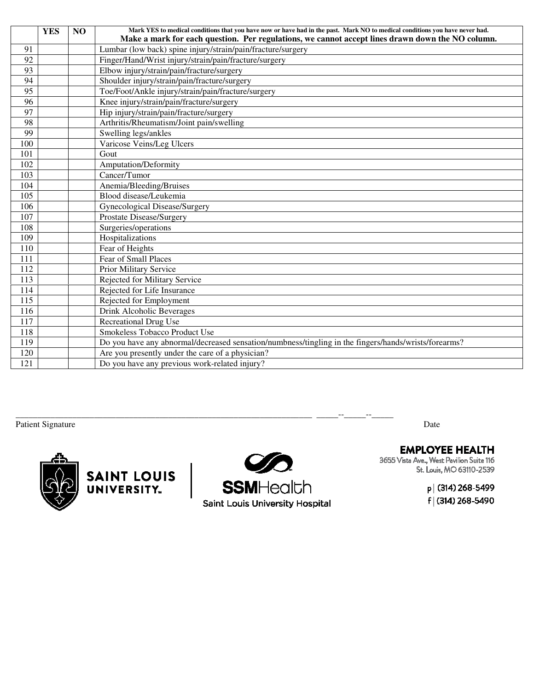|     | <b>YES</b> | N <sub>O</sub> | Mark YES to medical conditions that you have now or have had in the past. Mark NO to medical conditions you have never had. |  |  |  |
|-----|------------|----------------|-----------------------------------------------------------------------------------------------------------------------------|--|--|--|
|     |            |                | Make a mark for each question. Per regulations, we cannot accept lines drawn down the NO column.                            |  |  |  |
| 91  |            |                | Lumbar (low back) spine injury/strain/pain/fracture/surgery                                                                 |  |  |  |
| 92  |            |                | Finger/Hand/Wrist injury/strain/pain/fracture/surgery                                                                       |  |  |  |
| 93  |            |                | Elbow injury/strain/pain/fracture/surgery                                                                                   |  |  |  |
| 94  |            |                | Shoulder injury/strain/pain/fracture/surgery                                                                                |  |  |  |
| 95  |            |                | Toe/Foot/Ankle injury/strain/pain/fracture/surgery                                                                          |  |  |  |
| 96  |            |                | Knee injury/strain/pain/fracture/surgery                                                                                    |  |  |  |
| 97  |            |                | Hip injury/strain/pain/fracture/surgery                                                                                     |  |  |  |
| 98  |            |                | Arthritis/Rheumatism/Joint pain/swelling                                                                                    |  |  |  |
| 99  |            |                | Swelling legs/ankles                                                                                                        |  |  |  |
| 100 |            |                | Varicose Veins/Leg Ulcers                                                                                                   |  |  |  |
| 101 |            |                | Gout                                                                                                                        |  |  |  |
| 102 |            |                | <b>Amputation/Deformity</b>                                                                                                 |  |  |  |
| 103 |            |                | Cancer/Tumor                                                                                                                |  |  |  |
| 104 |            |                | Anemia/Bleeding/Bruises                                                                                                     |  |  |  |
| 105 |            |                | Blood disease/Leukemia                                                                                                      |  |  |  |
| 106 |            |                | Gynecological Disease/Surgery                                                                                               |  |  |  |
| 107 |            |                | <b>Prostate Disease/Surgery</b>                                                                                             |  |  |  |
| 108 |            |                | Surgeries/operations                                                                                                        |  |  |  |
| 109 |            |                | Hospitalizations                                                                                                            |  |  |  |
| 110 |            |                | Fear of Heights                                                                                                             |  |  |  |
| 111 |            |                | Fear of Small Places                                                                                                        |  |  |  |
| 112 |            |                | Prior Military Service                                                                                                      |  |  |  |
| 113 |            |                | Rejected for Military Service                                                                                               |  |  |  |
| 114 |            |                | Rejected for Life Insurance                                                                                                 |  |  |  |
| 115 |            |                | Rejected for Employment                                                                                                     |  |  |  |
| 116 |            |                | Drink Alcoholic Beverages                                                                                                   |  |  |  |
| 117 |            |                | <b>Recreational Drug Use</b>                                                                                                |  |  |  |
| 118 |            |                | Smokeless Tobacco Product Use                                                                                               |  |  |  |
| 119 |            |                | Do you have any abnormal/decreased sensation/numbness/tingling in the fingers/hands/wrists/forearms?                        |  |  |  |
| 120 |            |                | Are you presently under the care of a physician?                                                                            |  |  |  |
| 121 |            |                | Do you have any previous work-related injury?                                                                               |  |  |  |

Patient Signature Date





\_\_\_\_\_\_\_\_\_\_\_\_\_\_\_\_\_\_\_\_\_\_\_\_\_\_\_\_\_\_\_\_\_\_\_\_\_\_\_\_\_\_\_\_\_\_\_\_\_\_\_\_\_\_\_\_\_\_\_\_\_\_\_\_\_\_\_\_ \_\_\_\_\_--\_\_\_\_\_--\_\_\_\_\_

**EMPLOYEE HEALTH** 

3655 Vista Ave., West Pavilion Suite 116<br>St. Louis, MO 63110-2539

p | (314) 268-5499 f (314) 268-5490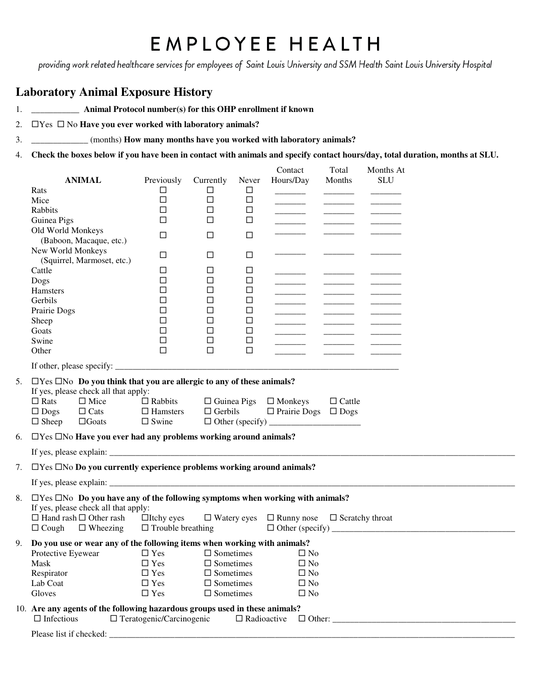## EMPLOYEE HEALTH

providing work related healthcare services for employees of Saint Louis University and SSM Health Saint Louis University Hospital

#### **Laboratory Animal Exposure History**

- 1. \_\_\_\_\_\_\_\_\_\_\_ **Animal Protocol number(s) for this OHP enrollment if known**
- 2.  $\Box$  Yes  $\Box$  No **Have you ever worked with laboratory animals?**
- 3. \_\_\_\_\_\_\_\_\_\_\_\_\_ (months) **How many months have you worked with laboratory animals?**
- 4. **Check the boxes below if you have been in contact with animals and specify contact hours/day, total duration, months at SLU.**

|    |                                                                                                                                                                                                                                                                                                                         |                                                                                  |                                 |                     |                    |                                   | Total                                                                                                                                                                                                                                                                                                                                                                                                                                                                         | Months At  |  |
|----|-------------------------------------------------------------------------------------------------------------------------------------------------------------------------------------------------------------------------------------------------------------------------------------------------------------------------|----------------------------------------------------------------------------------|---------------------------------|---------------------|--------------------|-----------------------------------|-------------------------------------------------------------------------------------------------------------------------------------------------------------------------------------------------------------------------------------------------------------------------------------------------------------------------------------------------------------------------------------------------------------------------------------------------------------------------------|------------|--|
|    | Rats                                                                                                                                                                                                                                                                                                                    | <b>ANIMAL</b>                                                                    | Previously<br>□                 | Currently           | Never<br>$\Box$    | Hours/Day                         | Months                                                                                                                                                                                                                                                                                                                                                                                                                                                                        | <b>SLU</b> |  |
|    |                                                                                                                                                                                                                                                                                                                         |                                                                                  | $\Box$                          | ⊔                   |                    |                                   |                                                                                                                                                                                                                                                                                                                                                                                                                                                                               |            |  |
|    | Mice                                                                                                                                                                                                                                                                                                                    |                                                                                  |                                 | $\Box$              | $\Box$             |                                   |                                                                                                                                                                                                                                                                                                                                                                                                                                                                               |            |  |
|    | Rabbits                                                                                                                                                                                                                                                                                                                 |                                                                                  | $\Box$<br>$\Box$                | □<br>$\Box$         | $\Box$             |                                   | $\overline{\phantom{a}}$                                                                                                                                                                                                                                                                                                                                                                                                                                                      |            |  |
|    | Guinea Pigs                                                                                                                                                                                                                                                                                                             |                                                                                  |                                 |                     | □                  |                                   | $\overline{\phantom{a}}$                                                                                                                                                                                                                                                                                                                                                                                                                                                      |            |  |
|    | Old World Monkeys                                                                                                                                                                                                                                                                                                       | (Baboon, Macaque, etc.)                                                          | $\Box$                          | $\Box$              | □                  |                                   |                                                                                                                                                                                                                                                                                                                                                                                                                                                                               |            |  |
|    | New World Monkeys                                                                                                                                                                                                                                                                                                       | (Squirrel, Marmoset, etc.)                                                       | $\Box$                          | $\Box$              | □                  |                                   |                                                                                                                                                                                                                                                                                                                                                                                                                                                                               |            |  |
|    | Cattle                                                                                                                                                                                                                                                                                                                  |                                                                                  | $\Box$                          | □                   | $\Box$             |                                   |                                                                                                                                                                                                                                                                                                                                                                                                                                                                               |            |  |
|    | Dogs                                                                                                                                                                                                                                                                                                                    |                                                                                  | $\Box$                          | $\Box$              | $\Box$             |                                   |                                                                                                                                                                                                                                                                                                                                                                                                                                                                               |            |  |
|    | <b>Hamsters</b>                                                                                                                                                                                                                                                                                                         |                                                                                  | $\Box$                          | □                   | $\Box$             |                                   |                                                                                                                                                                                                                                                                                                                                                                                                                                                                               |            |  |
|    | Gerbils                                                                                                                                                                                                                                                                                                                 |                                                                                  | $\Box$                          | □                   | $\Box$             |                                   |                                                                                                                                                                                                                                                                                                                                                                                                                                                                               |            |  |
|    | Prairie Dogs                                                                                                                                                                                                                                                                                                            |                                                                                  | $\Box$                          | $\Box$              | $\Box$             |                                   | $\begin{tabular}{cccccc} \multicolumn{2}{c} {\textbf{1} } & \multicolumn{2}{c} {\textbf{2} } & \multicolumn{2}{c} {\textbf{3} } & \multicolumn{2}{c} {\textbf{4} } & \multicolumn{2}{c} {\textbf{5} } & \multicolumn{2}{c} {\textbf{6} } & \multicolumn{2}{c} {\textbf{7} } & \multicolumn{2}{c} {\textbf{8} } & \multicolumn{2}{c} {\textbf{9} } & \multicolumn{2}{c} {\textbf{10} } & \multicolumn{2}{c} {\textbf{11} } & \multicolumn{2}{c} {\textbf{12} } & \multicolumn$ |            |  |
|    | Sheep                                                                                                                                                                                                                                                                                                                   |                                                                                  | $\Box$                          | □                   | $\Box$             |                                   |                                                                                                                                                                                                                                                                                                                                                                                                                                                                               |            |  |
|    | Goats                                                                                                                                                                                                                                                                                                                   |                                                                                  | $\Box$                          | □                   | $\Box$             |                                   |                                                                                                                                                                                                                                                                                                                                                                                                                                                                               |            |  |
|    | Swine                                                                                                                                                                                                                                                                                                                   |                                                                                  | $\Box$                          | $\Box$              | $\Box$             |                                   |                                                                                                                                                                                                                                                                                                                                                                                                                                                                               |            |  |
|    | Other                                                                                                                                                                                                                                                                                                                   |                                                                                  | $\Box$                          | $\Box$              | $\Box$             |                                   |                                                                                                                                                                                                                                                                                                                                                                                                                                                                               |            |  |
|    |                                                                                                                                                                                                                                                                                                                         |                                                                                  |                                 |                     |                    |                                   |                                                                                                                                                                                                                                                                                                                                                                                                                                                                               |            |  |
| 5. |                                                                                                                                                                                                                                                                                                                         | $\Box$ Yes $\Box$ No Do you think that you are allergic to any of these animals? |                                 |                     |                    |                                   |                                                                                                                                                                                                                                                                                                                                                                                                                                                                               |            |  |
|    |                                                                                                                                                                                                                                                                                                                         | If yes, please check all that apply:                                             |                                 |                     |                    |                                   |                                                                                                                                                                                                                                                                                                                                                                                                                                                                               |            |  |
|    | $\Box$ Rats                                                                                                                                                                                                                                                                                                             | $\Box$ Mice                                                                      | $\Box$ Rabbits                  |                     |                    | $\Box$ Guinea Pigs $\Box$ Monkeys | $\Box$ Cattle                                                                                                                                                                                                                                                                                                                                                                                                                                                                 |            |  |
|    | $\Box$ Dogs                                                                                                                                                                                                                                                                                                             | $\Box$ Cats                                                                      | $\Box$ Hamsters                 | $\Box$ Gerbils      |                    | $\Box$ Prairie Dogs $\Box$ Dogs   |                                                                                                                                                                                                                                                                                                                                                                                                                                                                               |            |  |
|    | $\Box$ Sheep                                                                                                                                                                                                                                                                                                            | $\Box$ Goats                                                                     | $\Box$ Swine                    |                     |                    |                                   |                                                                                                                                                                                                                                                                                                                                                                                                                                                                               |            |  |
| 6. | $\Box$ Yes $\Box$ No Have you ever had any problems working around animals?                                                                                                                                                                                                                                             |                                                                                  |                                 |                     |                    |                                   |                                                                                                                                                                                                                                                                                                                                                                                                                                                                               |            |  |
|    |                                                                                                                                                                                                                                                                                                                         |                                                                                  |                                 |                     |                    |                                   |                                                                                                                                                                                                                                                                                                                                                                                                                                                                               |            |  |
| 7. | $\Box$ Yes $\Box$ No Do you currently experience problems working around animals?                                                                                                                                                                                                                                       |                                                                                  |                                 |                     |                    |                                   |                                                                                                                                                                                                                                                                                                                                                                                                                                                                               |            |  |
|    |                                                                                                                                                                                                                                                                                                                         |                                                                                  |                                 |                     |                    |                                   |                                                                                                                                                                                                                                                                                                                                                                                                                                                                               |            |  |
| 8. | $\Box$ Yes $\Box$ No Do you have any of the following symptoms when working with animals?<br>If yes, please check all that apply:<br>$\Box$ Hand rash $\Box$ Other rash<br>$\Box$ Itchy eyes<br>$\Box$ Watery eyes $\Box$ Runny nose $\Box$ Scratchy throat<br>$\Box$ Trouble breathing<br>$\Box$ Cough $\Box$ Wheezing |                                                                                  |                                 |                     |                    |                                   |                                                                                                                                                                                                                                                                                                                                                                                                                                                                               |            |  |
|    |                                                                                                                                                                                                                                                                                                                         |                                                                                  |                                 |                     |                    |                                   |                                                                                                                                                                                                                                                                                                                                                                                                                                                                               |            |  |
| 9. | Do you use or wear any of the following items when working with animals?                                                                                                                                                                                                                                                |                                                                                  |                                 |                     |                    |                                   |                                                                                                                                                                                                                                                                                                                                                                                                                                                                               |            |  |
|    | Protective Eyewear                                                                                                                                                                                                                                                                                                      |                                                                                  | $\Box$ Yes                      | $\square$ Sometimes |                    | $\Box$ No                         |                                                                                                                                                                                                                                                                                                                                                                                                                                                                               |            |  |
|    | Mask                                                                                                                                                                                                                                                                                                                    |                                                                                  | $\square$ Yes                   | $\Box$ Sometimes    |                    | $\Box$ No                         |                                                                                                                                                                                                                                                                                                                                                                                                                                                                               |            |  |
|    | Respirator                                                                                                                                                                                                                                                                                                              |                                                                                  | $\square$ Yes                   | $\Box$ Sometimes    |                    | $\square$ No                      |                                                                                                                                                                                                                                                                                                                                                                                                                                                                               |            |  |
|    | Lab Coat                                                                                                                                                                                                                                                                                                                |                                                                                  | $\Box$ Yes                      | $\Box$ Sometimes    |                    | $\square$ No                      |                                                                                                                                                                                                                                                                                                                                                                                                                                                                               |            |  |
|    | Gloves                                                                                                                                                                                                                                                                                                                  |                                                                                  | $\square$ Yes                   | $\Box$ Sometimes    |                    | $\Box$ No                         |                                                                                                                                                                                                                                                                                                                                                                                                                                                                               |            |  |
|    | $\Box$ Infectious                                                                                                                                                                                                                                                                                                       | 10. Are any agents of the following hazardous groups used in these animals?      | $\Box$ Teratogenic/Carcinogenic |                     | $\Box$ Radioactive |                                   |                                                                                                                                                                                                                                                                                                                                                                                                                                                                               |            |  |
|    |                                                                                                                                                                                                                                                                                                                         |                                                                                  |                                 |                     |                    |                                   |                                                                                                                                                                                                                                                                                                                                                                                                                                                                               |            |  |
|    |                                                                                                                                                                                                                                                                                                                         |                                                                                  |                                 |                     |                    |                                   |                                                                                                                                                                                                                                                                                                                                                                                                                                                                               |            |  |